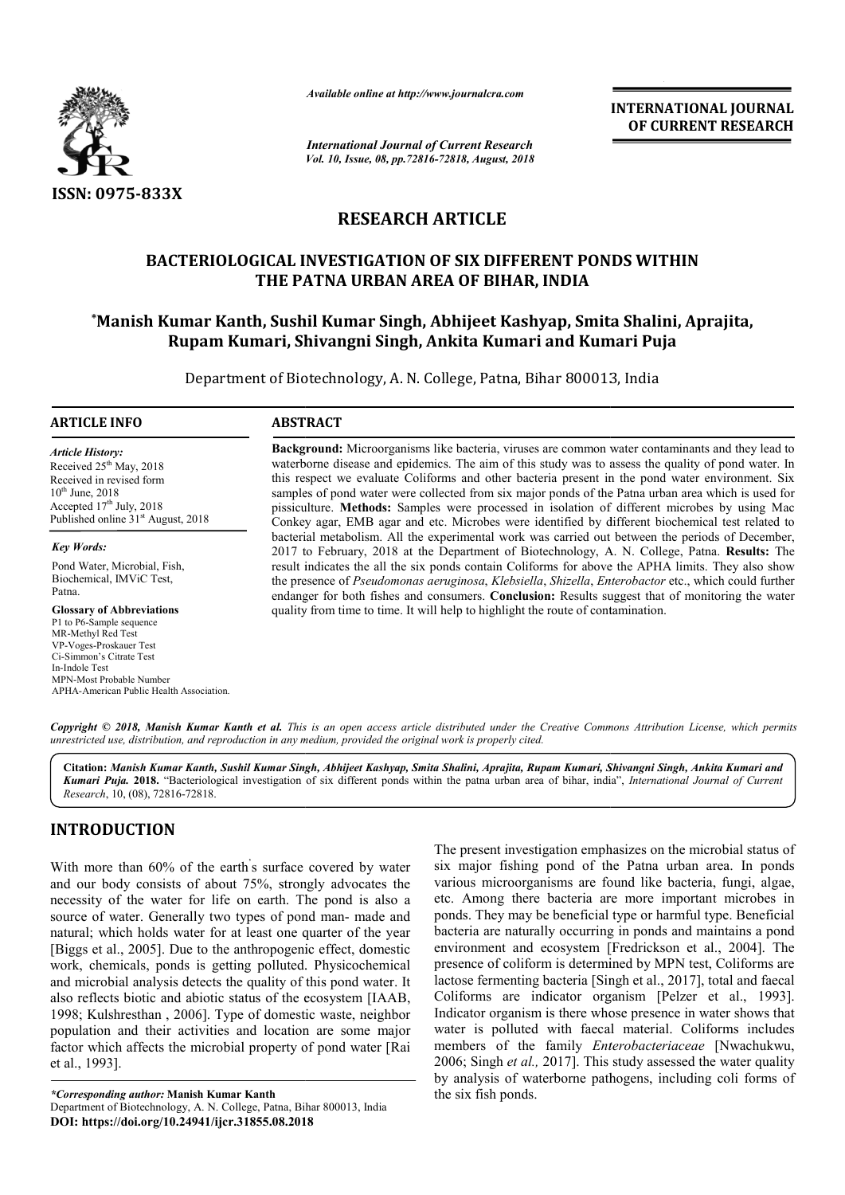

*Available online at http://www.journalcra.com*

*International Journal of Current Research Vol. 10, Issue, 08, pp.72816-72818, August, 2018* **INTERNATIONAL JOURNAL OF CURRENT RESEARCH**

# **RESEARCH ARTICLE**

## **BACTERIOLOGICAL INVESTIGATION OF SIX DIFFERENT PONDS WITHIN THE PATNA URBAN AREA OF BIHAR, INDIA**

## **\*Manish Kumar Kanth, Sushil Kumar Singh, Abhijeet Kashyap, Smita Shalini, Aprajita, Rupam Kumari, Shivangni Singh, Ankita Kumari and Kumari Puja**

Department of Biotechnology, A. N. College, Patna, Bihar 800013, India

#### **ARTICLE INFO ABSTRACT**

*Article History:* Received 25<sup>th</sup> May, 2018 Received in revised form  $10^{th}$  June,  $2018$ Accepted 17<sup>th</sup> July, 2018 Published online  $31<sup>st</sup>$  August, 2018

*Key Words:*

Pond Water, Microbial, Fish, Biochemical, IMViC Test, Patna.

**Glossary of Abbreviations** P1 to P6-Sample sequence MR-Methyl Red Test VP-Voges-Proskauer Test Ci-Simmon's Citrate Test In-Indole Test MPN-Most Probable Number APHA-American Public Health Association. **Background:** Microorganisms like bacteria, viruses are common water contaminants and they lead to waterborne disease and epidemics. The aim of this study was to assess the quality of pond water. In this respect we evaluate Coliforms and other bacteria present in the pond water environment. Six samples of pond water were collected from six major ponds of the Patna urban area which is used for pissiculture. Methods: Samples were processed in isolation of different microbes by using Mac Conkey agar, EMB agar and etc. Microbes were identified by different biochemical test related to bacterial metabolism. All the experimental work was carried out between the periods of December, 2017 to February, 2018 at the Department of Biotechnology, A. N. College, Patna. **Results:** The result indicates the all the six ponds contain Coliforms for above the APHA limits. They also show the presence of *Pseudomonas aeruginosa*, *Klebsiella*, *Shizella*, *Enterobactor*  etc., which could further endanger for both fishes and consumers. **Conclusion:** Results suggest that of monitoring the water quality from time to time. It will help to highlight the route of contamination.

Copyright © 2018, Manish Kumar Kanth et al. This is an open access article distributed under the Creative Commons Attribution License, which permits *unrestricted use, distribution, and reproduction in any medium, provided the original work is properly cited.*

**Citation:** *Manish Kumar Kanth, Sushil Kumar Singh, Abhijeet Kashyap, Smita Shalini, Aprajita, Rupam Kumari, Shivangni Singh, Ankita Kuma Smita Rupam Kumari and*  Kumari Puja. 2018. "Bacteriological investigation of six different ponds within the patna urban area of bihar, india", *International Journal of Current Research*, 10, (08), 72816-72818.

## **INTRODUCTION**

With more than 60% of the earth' s surface covered by water and our body consists of about 75%, strongly advocates the necessity of the water for life on earth. The pond is also a source of water. Generally two types of pond man- made and natural; which holds water for at least one quarter of the year [Biggs et al., 2005]. Due to the anthropogenic effect, domestic work, chemicals, ponds is getting polluted. Physicochemical and microbial analysis detects the quality of this pond water. It also reflects biotic and abiotic status of the ecosystem [IAAB, 1998; Kulshresthan , 2006]. Type of domestic waste, neighbor population and their activities and location are some major factor which affects the microbial property of pond water [Rai et al., 1993].

The present investigation emphasizes<br>
arface covered by water<br> **a**, strongly advocates the<br>
various microorganisms are found 1<br>
orth. The pond is also a<br>
etc. Among there bacteria are more<br>
of pond man-made and<br>
ponds. The six major fishing pond of the Patna urban area. In ponds various microorganisms are found like bacteria, fungi, algae, etc. Among there bacteria are more important microbes in ponds. They may be beneficial type or harmful type. Beneficial bacteria are naturally occurring in ponds and maintains a pond environment and ecosystem [ [Fredrickson et al., 2004]. The presence of coliform is determined by MPN test, Coliforms are lactose fermenting bacteria [Singh et al., 2017], total and faecal Coliforms are indicator organism [Pelzer et al., 1993]. Indicator organism is there whose presence in water shows that water is polluted with faecal material. Coliforms includes members of the family *Enterobacteriaceae Enterobacteriaceae* [Nwachukwu, 2006; Singh *et al.,* 2017]. This study assessed the water quality by analysis of waterborne pathogens, including coli forms of the six fish ponds. The present investigation emphasizes on the microbial status of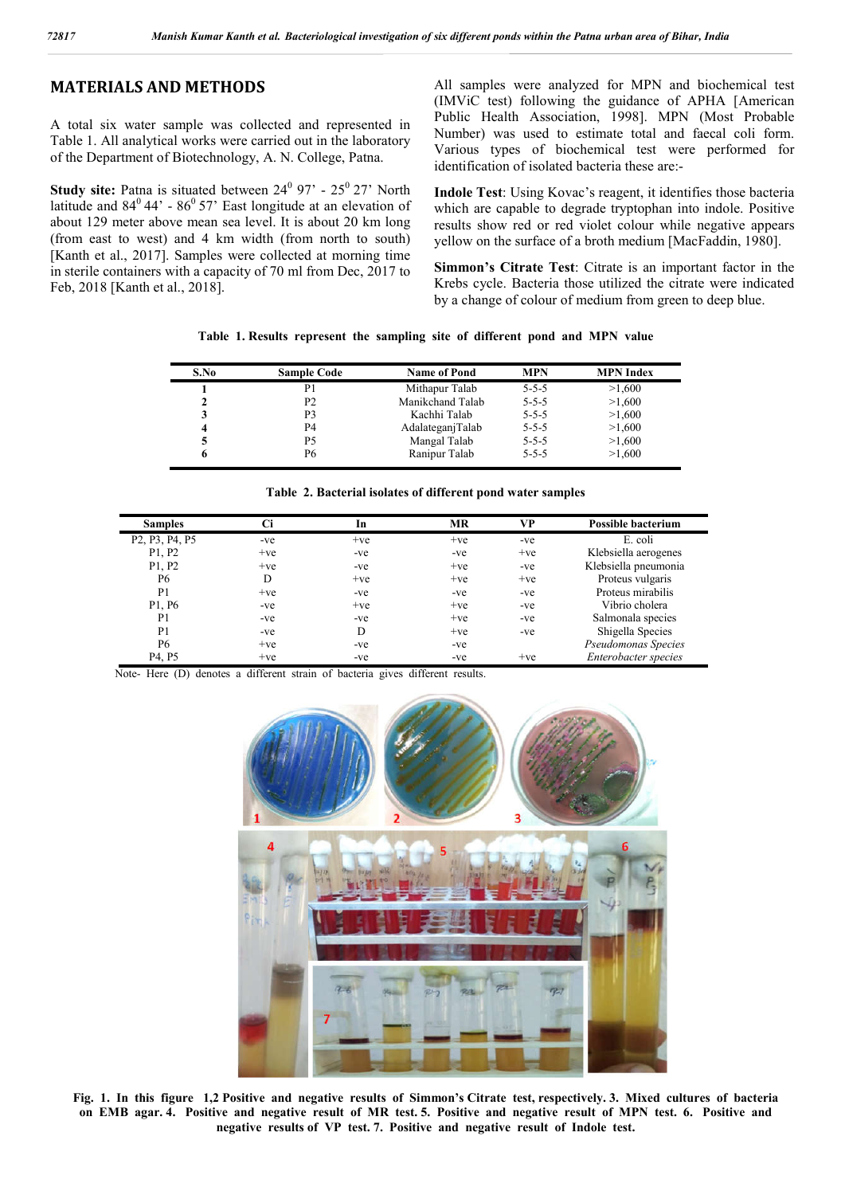### **MATERIALS AND METHODS**

A total six water sample was collected and represented in Table 1. All analytical works were carried out in the laboratory of the Department of Biotechnology, A. N. College, Patna.

**Study site:** Patna is situated between 24<sup>0</sup> 97' - 25<sup>0</sup> 27' North latitude and  $84^{\circ}44'$  -  $86^{\circ}57'$  East longitude at an elevation of about 129 meter above mean sea level. It is about 20 km long (from east to west) and 4 km width (from north to south) [Kanth et al., 2017]. Samples were collected at morning time in sterile containers with a capacity of 70 ml from Dec, 2017 to Feb, 2018 [Kanth et al., 2018].

All samples were analyzed for MPN and biochemical test (IMViC test) following the guidance of APHA [American Public Health Association, 1998]. MPN (Most Probable Number) was used to estimate total and faecal coli form. Various types of biochemical test were performed for identification of isolated bacteria these are:-

**Indole Test**: Using Kovac's reagent, it identifies those bacteria which are capable to degrade tryptophan into indole. Positive results show red or red violet colour while negative appears yellow on the surface of a broth medium [MacFaddin, 1980].

**Simmon's Citrate Test**: Citrate is an important factor in the Krebs cycle. Bacteria those utilized the citrate were indicated by a change of colour of medium from green to deep blue.

| Table 1. Results represent the sampling site of different pond and MPN value |  |  |  |  |  |  |  |  |  |  |  |  |
|------------------------------------------------------------------------------|--|--|--|--|--|--|--|--|--|--|--|--|
|------------------------------------------------------------------------------|--|--|--|--|--|--|--|--|--|--|--|--|

| S.No | <b>Sample Code</b> | <b>Name of Pond</b> | <b>MPN</b>  | <b>MPN</b> Index |
|------|--------------------|---------------------|-------------|------------------|
|      | P1                 | Mithapur Talab      | $5 - 5 - 5$ | >1,600           |
|      | P <sub>2</sub>     | Manikchand Talab    | $5 - 5 - 5$ | >1,600           |
|      | P3                 | Kachhi Talab        | $5 - 5 - 5$ | >1,600           |
|      | P <sub>4</sub>     | AdalateganjTalab    | $5 - 5 - 5$ | >1,600           |
|      | Р5                 | Mangal Talab        | $5 - 5 - 5$ | >1,600           |
|      | Р6                 | Ranipur Talab       | $5 - 5 - 5$ | >1,600           |

| <b>Samples</b>                                                    | Ci    | In    | MR    | <b>VP</b> | <b>Possible bacterium</b> |
|-------------------------------------------------------------------|-------|-------|-------|-----------|---------------------------|
| P <sub>2</sub> , P <sub>3</sub> , P <sub>4</sub> , P <sub>5</sub> | -ve   | $+ve$ | $+ve$ | -ve       | E. coli                   |
| P1, P2                                                            | $+ve$ | -ve   | -ve   | $+ve$     | Klebsiella aerogenes      |
| P1, P2                                                            | $+ve$ | -ve   | $+ve$ | -ve       | Klebsiella pneumonia      |
| P <sub>6</sub>                                                    | D     | $+ve$ | $+ve$ | $+ve$     | Proteus vulgaris          |
| P <sub>1</sub>                                                    | $+ve$ | -ve   | -ve   | -ve       | Proteus mirabilis         |
| P1, P6                                                            | -ve   | $+ve$ | $+ve$ | -ve       | Vibrio cholera            |
| P <sub>1</sub>                                                    | -ve   | -ve   | $+ve$ | -ve       | Salmonala species         |
| P <sub>1</sub>                                                    | -ve   | D     | $+ve$ | -ve       | Shigella Species          |
| P <sub>6</sub>                                                    | $+ve$ | -ve   | -ve   |           | Pseudomonas Species       |
| P4, P5                                                            | $+ve$ | -ve   | -ve   | $+ve$     | Enterobacter species      |

Note- Here (D) denotes a different strain of bacteria gives different results.



**Fig. 1. In this figure 1,2 Positive and negative results of Simmon's Citrate test, respectively. 3. Mixed cultures of bacteria on EMB agar. 4. Positive and negative result of MR test. 5. Positive and negative result of MPN test. 6. Positive and negative results of VP test. 7. Positive and negative result of Indole test.**